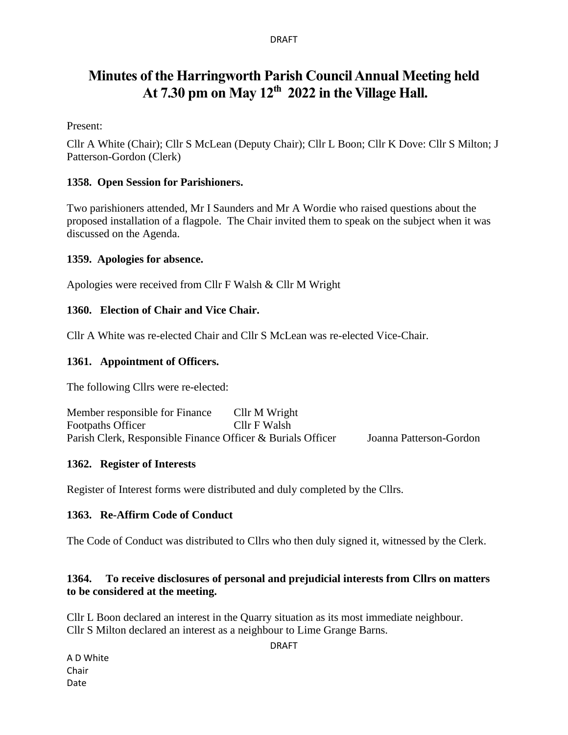#### DRAFT

# **Minutes of the Harringworth Parish Council Annual Meeting held At 7.30 pm on May 12th 2022 in the Village Hall.**

Present:

Cllr A White (Chair); Cllr S McLean (Deputy Chair); Cllr L Boon; Cllr K Dove: Cllr S Milton; J Patterson-Gordon (Clerk)

#### **1358. Open Session for Parishioners.**

Two parishioners attended, Mr I Saunders and Mr A Wordie who raised questions about the proposed installation of a flagpole. The Chair invited them to speak on the subject when it was discussed on the Agenda.

#### **1359. Apologies for absence.**

Apologies were received from Cllr F Walsh & Cllr M Wright

#### **1360. Election of Chair and Vice Chair.**

Cllr A White was re-elected Chair and Cllr S McLean was re-elected Vice-Chair.

#### **1361. Appointment of Officers.**

The following Cllrs were re-elected:

| Member responsible for Finance                              | Cllr M Wright |                         |
|-------------------------------------------------------------|---------------|-------------------------|
| <b>Footpaths Officer</b>                                    | Cllr F Walsh  |                         |
| Parish Clerk, Responsible Finance Officer & Burials Officer |               | Joanna Patterson-Gordon |

#### **1362. Register of Interests**

Register of Interest forms were distributed and duly completed by the Cllrs.

#### **1363. Re-Affirm Code of Conduct**

The Code of Conduct was distributed to Cllrs who then duly signed it, witnessed by the Clerk.

## **1364. To receive disclosures of personal and prejudicial interests from Cllrs on matters to be considered at the meeting.**

Cllr L Boon declared an interest in the Quarry situation as its most immediate neighbour. Cllr S Milton declared an interest as a neighbour to Lime Grange Barns.

DRAFT

A D White Chair Date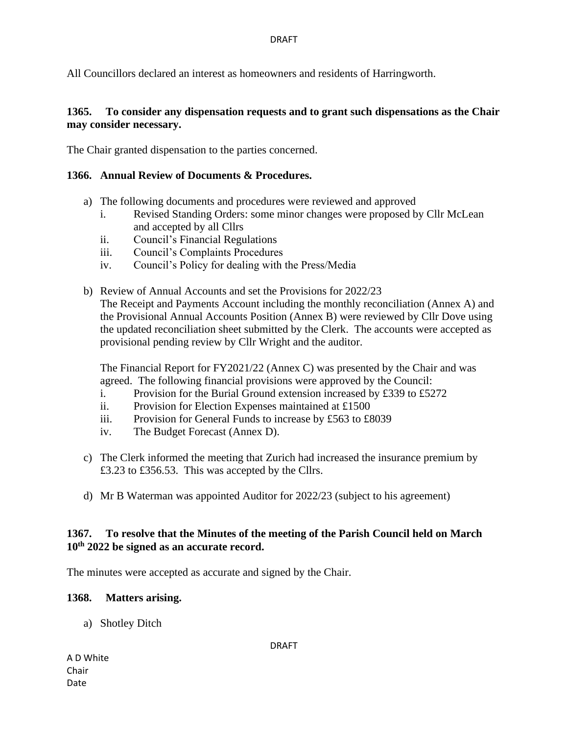All Councillors declared an interest as homeowners and residents of Harringworth.

#### **1365. To consider any dispensation requests and to grant such dispensations as the Chair may consider necessary.**

The Chair granted dispensation to the parties concerned.

#### **1366. Annual Review of Documents & Procedures.**

- a) The following documents and procedures were reviewed and approved
	- i. Revised Standing Orders: some minor changes were proposed by Cllr McLean and accepted by all Cllrs
	- ii. Council's Financial Regulations
	- iii. Council's Complaints Procedures
	- iv. Council's Policy for dealing with the Press/Media
- b) Review of Annual Accounts and set the Provisions for 2022/23 The Receipt and Payments Account including the monthly reconciliation (Annex A) and the Provisional Annual Accounts Position (Annex B) were reviewed by Cllr Dove using the updated reconciliation sheet submitted by the Clerk. The accounts were accepted as provisional pending review by Cllr Wright and the auditor.

The Financial Report for FY2021/22 (Annex C) was presented by the Chair and was agreed. The following financial provisions were approved by the Council:

- i. Provision for the Burial Ground extension increased by £339 to £5272
- ii. Provision for Election Expenses maintained at £1500
- iii. Provision for General Funds to increase by £563 to £8039
- iv. The Budget Forecast (Annex D).
- c) The Clerk informed the meeting that Zurich had increased the insurance premium by £3.23 to £356.53. This was accepted by the Cllrs.
- d) Mr B Waterman was appointed Auditor for 2022/23 (subject to his agreement)

#### **1367. To resolve that the Minutes of the meeting of the Parish Council held on March 10th 2022 be signed as an accurate record.**

The minutes were accepted as accurate and signed by the Chair.

#### **1368. Matters arising.**

a) Shotley Ditch

DRAFT

A D White Chair Date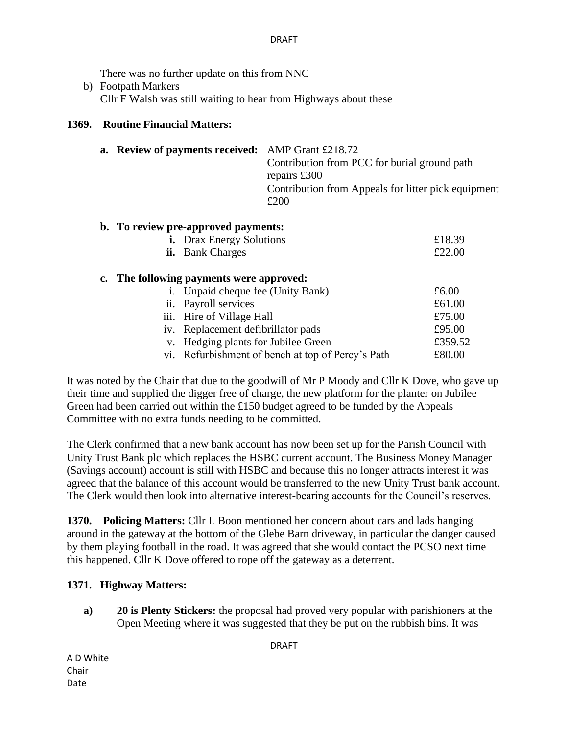#### DRAFT

There was no further update on this from NNC

b) Footpath Markers Cllr F Walsh was still waiting to hear from Highways about these

#### **1369. Routine Financial Matters:**

| a. Review of payments received: AMP Grant £218.72 | Contribution from PCC for burial ground path<br>repairs £300<br>Contribution from Appeals for litter pick equipment<br>£200 |  |
|---------------------------------------------------|-----------------------------------------------------------------------------------------------------------------------------|--|
| b. To review pre-approved payments:               |                                                                                                                             |  |
| <b>i.</b> Drax Energy Solutions                   | £18.39                                                                                                                      |  |
| <b>ii.</b> Bank Charges                           | f22.00                                                                                                                      |  |

#### **c. The following payments were approved:**

| i. Unpaid cheque fee (Unity Bank)                 | £6.00   |
|---------------------------------------------------|---------|
| ii. Payroll services                              | £61.00  |
| iii. Hire of Village Hall                         | £75.00  |
| iv. Replacement defibrillator pads                | £95.00  |
| v. Hedging plants for Jubilee Green               | £359.52 |
| vi. Refurbishment of bench at top of Percy's Path | £80.00  |
|                                                   |         |

It was noted by the Chair that due to the goodwill of Mr P Moody and Cllr K Dove, who gave up their time and supplied the digger free of charge, the new platform for the planter on Jubilee Green had been carried out within the £150 budget agreed to be funded by the Appeals Committee with no extra funds needing to be committed.

The Clerk confirmed that a new bank account has now been set up for the Parish Council with Unity Trust Bank plc which replaces the HSBC current account. The Business Money Manager (Savings account) account is still with HSBC and because this no longer attracts interest it was agreed that the balance of this account would be transferred to the new Unity Trust bank account. The Clerk would then look into alternative interest-bearing accounts for the Council's reserves.

**1370. Policing Matters:** Cllr L Boon mentioned her concern about cars and lads hanging around in the gateway at the bottom of the Glebe Barn driveway, in particular the danger caused by them playing football in the road. It was agreed that she would contact the PCSO next time this happened. Cllr K Dove offered to rope off the gateway as a deterrent.

## **1371. Highway Matters:**

**a) 20 is Plenty Stickers:** the proposal had proved very popular with parishioners at the Open Meeting where it was suggested that they be put on the rubbish bins. It was

A D White Chair Date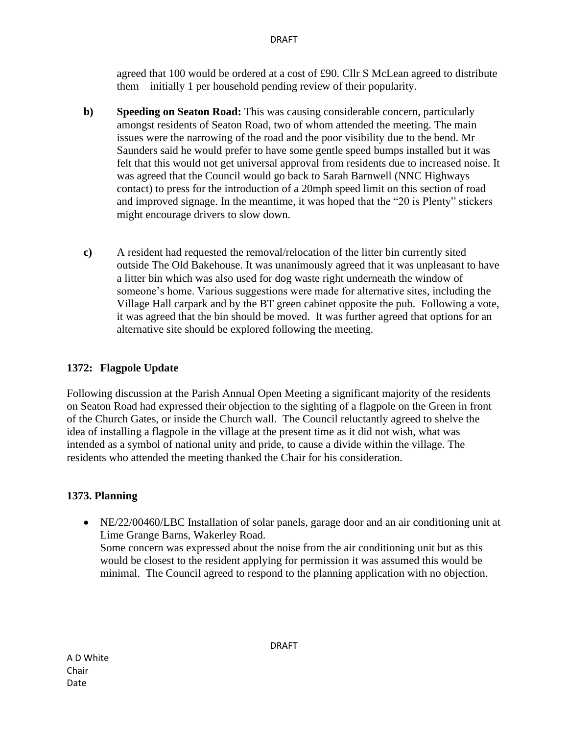agreed that 100 would be ordered at a cost of £90. Cllr S McLean agreed to distribute them – initially 1 per household pending review of their popularity.

- **b) Speeding on Seaton Road:** This was causing considerable concern, particularly amongst residents of Seaton Road, two of whom attended the meeting. The main issues were the narrowing of the road and the poor visibility due to the bend. Mr Saunders said he would prefer to have some gentle speed bumps installed but it was felt that this would not get universal approval from residents due to increased noise. It was agreed that the Council would go back to Sarah Barnwell (NNC Highways contact) to press for the introduction of a 20mph speed limit on this section of road and improved signage. In the meantime, it was hoped that the "20 is Plenty" stickers might encourage drivers to slow down.
- **c)** A resident had requested the removal/relocation of the litter bin currently sited outside The Old Bakehouse. It was unanimously agreed that it was unpleasant to have a litter bin which was also used for dog waste right underneath the window of someone's home. Various suggestions were made for alternative sites, including the Village Hall carpark and by the BT green cabinet opposite the pub. Following a vote, it was agreed that the bin should be moved. It was further agreed that options for an alternative site should be explored following the meeting.

## **1372: Flagpole Update**

Following discussion at the Parish Annual Open Meeting a significant majority of the residents on Seaton Road had expressed their objection to the sighting of a flagpole on the Green in front of the Church Gates, or inside the Church wall. The Council reluctantly agreed to shelve the idea of installing a flagpole in the village at the present time as it did not wish, what was intended as a symbol of national unity and pride, to cause a divide within the village. The residents who attended the meeting thanked the Chair for his consideration.

## **1373. Planning**

• NE/22/00460/LBC Installation of solar panels, garage door and an air conditioning unit at Lime Grange Barns, Wakerley Road. Some concern was expressed about the noise from the air conditioning unit but as this would be closest to the resident applying for permission it was assumed this would be minimal. The Council agreed to respond to the planning application with no objection.